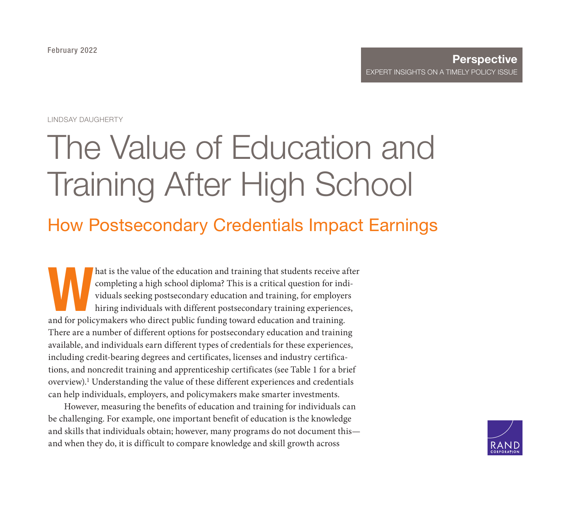February [2022](https://www.rand.org/pubs/perspectives/PEA1141-9.html)

#### **Perspective** EXPERT INSIGHTS ON A TIMELY POLICY ISSUE

LINDSAY DAUGHERTY

# The Value of Education and Training After High School

## How Postsecondary Credentials Impact Earnings

hat is the value of the education and training that students receive after completing a high school diploma? This is a critical question for individuals seeking postsecondary education and training, for employers hiring individuals with different postsecondary training experiences, and for policymakers who direct public funding toward education and training. There are a number of different options for postsecondary education and training available, and individuals earn different types of credentials for these experiences, including credit-bearing degrees and certificates, licenses and industry certifications, and noncredit training and apprenticeship certificates (see Table 1 for a brief overview).1 Understanding the value of these different experiences and credentials can help individuals, employers, and policymakers make smarter investments.

However, measuring the benefits of education and training for individuals can be challenging. For example, one important benefit of education is the knowledge and skills that individuals obtain; however, many programs do not document this and when they do, it is difficult to compare knowledge and skill growth across

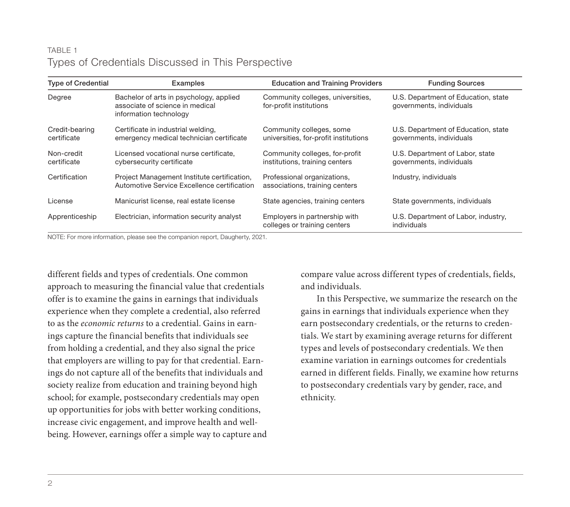#### TABLE 1 Types of Credentials Discussed in This Perspective

| <b>Type of Credential</b>     | Examples                                                                                             | <b>Education and Training Providers</b>                           | <b>Funding Sources</b>                                          |
|-------------------------------|------------------------------------------------------------------------------------------------------|-------------------------------------------------------------------|-----------------------------------------------------------------|
| Degree                        | Bachelor of arts in psychology, applied<br>associate of science in medical<br>information technology | Community colleges, universities,<br>for-profit institutions      | U.S. Department of Education, state<br>governments, individuals |
| Credit-bearing<br>certificate | Certificate in industrial welding,<br>emergency medical technician certificate                       | Community colleges, some<br>universities, for-profit institutions | U.S. Department of Education, state<br>governments, individuals |
| Non-credit<br>certificate     | Licensed vocational nurse certificate.<br>cybersecurity certificate                                  | Community colleges, for-profit<br>institutions, training centers  | U.S. Department of Labor, state<br>governments, individuals     |
| Certification                 | Project Management Institute certification,<br>Automotive Service Excellence certification           | Professional organizations,<br>associations, training centers     | Industry, individuals                                           |
| License                       | Manicurist license, real estate license                                                              | State agencies, training centers                                  | State governments, individuals                                  |
| Apprenticeship                | Electrician, information security analyst                                                            | Employers in partnership with<br>colleges or training centers     | U.S. Department of Labor, industry,<br>individuals              |

NOTE: For more information, please see the companion report, Daugherty, 2021.

different fields and types of credentials. One common approach to measuring the financial value that credentials offer is to examine the gains in earnings that individuals experience when they complete a credential, also referred to as the economic returns to a credential. Gains in earnings capture the financial benefits that individuals see from holding a credential, and they also signal the price that employers are willing to pay for that credential. Earnings do not capture all of the benefits that individuals and society realize from education and training beyond high school; for example, postsecondary credentials may open up opportunities for jobs with better working conditions, increase civic engagement, and improve health and wellbeing. However, earnings offer a simple way to capture and compare value across different types of credentials, fields, and individuals.

In this Perspective, we summarize the research on the gains in earnings that individuals experience when they earn postsecondary credentials, or the returns to credentials. We start by examining average returns for different types and levels of postsecondary credentials. We then examine variation in earnings outcomes for credentials earned in different fields. Finally, we examine how returns to postsecondary credentials vary by gender, race, and ethnicity.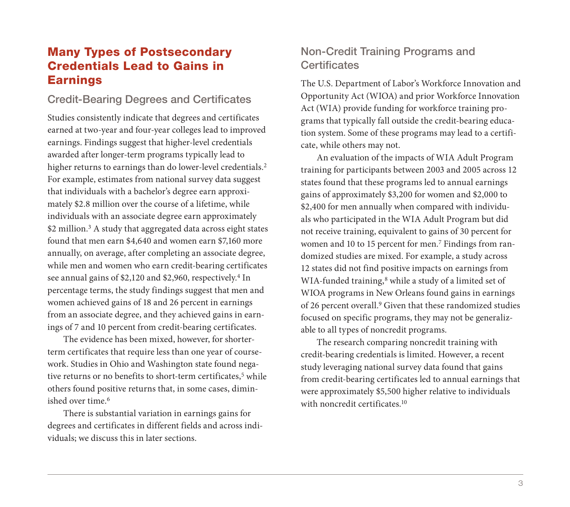## Many Types of Postsecondary Credentials Lead to Gains in Earnings

#### Credit-Bearing Degrees and Certificates

Studies consistently indicate that degrees and certificates earned at two-year and four-year colleges lead to improved earnings. Findings suggest that higher-level credentials awarded after longer-term programs typically lead to higher returns to earnings than do lower-level credentials.<sup>2</sup> For example, estimates from national survey data suggest that individuals with a bachelor's degree earn approximately \$2.8 million over the course of a lifetime, while individuals with an associate degree earn approximately \$2 million.<sup>3</sup> A study that aggregated data across eight states found that men earn \$4,640 and women earn \$7,160 more annually, on average, after completing an associate degree, while men and women who earn credit-bearing certificates see annual gains of \$2,120 and \$2,960, respectively.<sup>4</sup> In percentage terms, the study findings suggest that men and women achieved gains of 18 and 26 percent in earnings from an associate degree, and they achieved gains in earnings of 7 and 10 percent from credit-bearing certificates.

The evidence has been mixed, however, for shorterterm certificates that require less than one year of coursework. Studies in Ohio and Washington state found negative returns or no benefits to short-term certificates,<sup>5</sup> while others found positive returns that, in some cases, diminished over time.6

There is substantial variation in earnings gains for degrees and certificates in different fields and across individuals; we discuss this in later sections.

## Non-Credit Training Programs and **Certificates**

The U.S. Department of Labor's Workforce Innovation and Opportunity Act (WIOA) and prior Workforce Innovation Act (WIA) provide funding for workforce training programs that typically fall outside the credit-bearing education system. Some of these programs may lead to a certificate, while others may not.

An evaluation of the impacts of WIA Adult Program training for participants between 2003 and 2005 across 12 states found that these programs led to annual earnings gains of approximately \$3,200 for women and \$2,000 to \$2,400 for men annually when compared with individuals who participated in the WIA Adult Program but did not receive training, equivalent to gains of 30 percent for women and 10 to 15 percent for men.<sup>7</sup> Findings from randomized studies are mixed. For example, a study across 12 states did not find positive impacts on earnings from WIA-funded training,<sup>8</sup> while a study of a limited set of WIOA programs in New Orleans found gains in earnings of 26 percent overall.9 Given that these randomized studies focused on specific programs, they may not be generalizable to all types of noncredit programs.

The research comparing noncredit training with credit-bearing credentials is limited. However, a recent study leveraging national survey data found that gains from credit-bearing certificates led to annual earnings that were approximately \$5,500 higher relative to individuals with noncredit certificates.<sup>10</sup>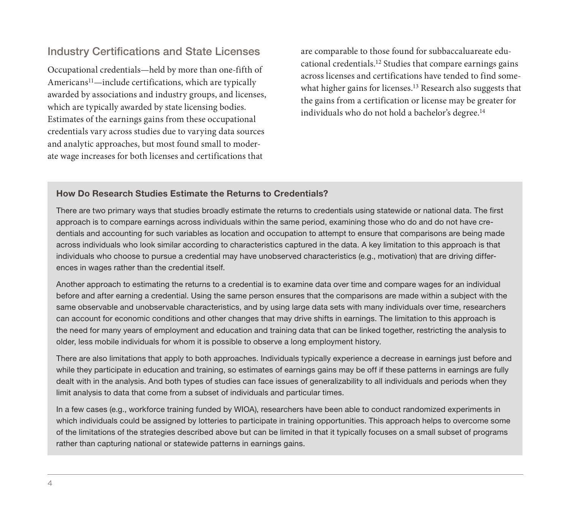#### Industry Certifications and State Licenses

Occupational credentials—held by more than one-fifth of Americans11—include certifications, which are typically awarded by associations and industry groups, and licenses, which are typically awarded by state licensing bodies. Estimates of the earnings gains from these occupational credentials vary across studies due to varying data sources and analytic approaches, but most found small to moderate wage increases for both licenses and certifications that

are comparable to those found for subbaccaluareate educational credentials.12 Studies that compare earnings gains across licenses and certifications have tended to find somewhat higher gains for licenses.<sup>13</sup> Research also suggests that the gains from a certification or license may be greater for individuals who do not hold a bachelor's degree.<sup>14</sup>

#### How Do Research Studies Estimate the Returns to Credentials?

There are two primary ways that studies broadly estimate the returns to credentials using statewide or national data. The first approach is to compare earnings across individuals within the same period, examining those who do and do not have credentials and accounting for such variables as location and occupation to attempt to ensure that comparisons are being made across individuals who look similar according to characteristics captured in the data. A key limitation to this approach is that individuals who choose to pursue a credential may have unobserved characteristics (e.g., motivation) that are driving differences in wages rather than the credential itself.

Another approach to estimating the returns to a credential is to examine data over time and compare wages for an individual before and after earning a credential. Using the same person ensures that the comparisons are made within a subject with the same observable and unobservable characteristics, and by using large data sets with many individuals over time, researchers can account for economic conditions and other changes that may drive shifts in earnings. The limitation to this approach is the need for many years of employment and education and training data that can be linked together, restricting the analysis to older, less mobile individuals for whom it is possible to observe a long employment history.

There are also limitations that apply to both approaches. Individuals typically experience a decrease in earnings just before and while they participate in education and training, so estimates of earnings gains may be off if these patterns in earnings are fully dealt with in the analysis. And both types of studies can face issues of generalizability to all individuals and periods when they limit analysis to data that come from a subset of individuals and particular times.

In a few cases (e.g., workforce training funded by WIOA), researchers have been able to conduct randomized experiments in which individuals could be assigned by lotteries to participate in training opportunities. This approach helps to overcome some of the limitations of the strategies described above but can be limited in that it typically focuses on a small subset of programs rather than capturing national or statewide patterns in earnings gains.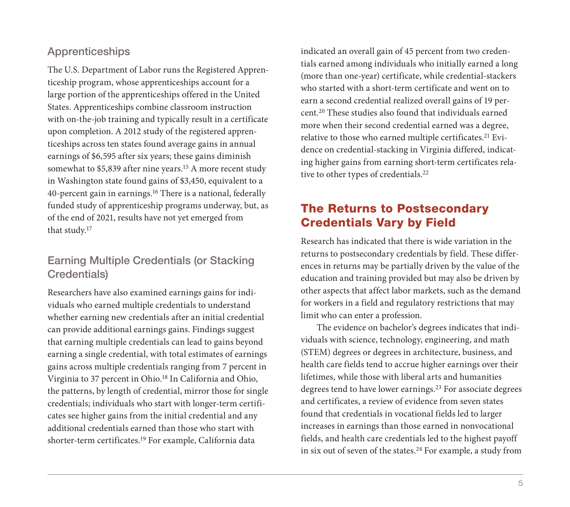## Apprenticeships

The U.S. Department of Labor runs the Registered Apprenticeship program, whose apprenticeships account for a large portion of the apprenticeships offered in the United States. Apprenticeships combine classroom instruction with on-the-job training and typically result in a certificate upon completion. A 2012 study of the registered apprenticeships across ten states found average gains in annual earnings of \$6,595 after six years; these gains diminish somewhat to \$5,839 after nine years.15 A more recent study in Washington state found gains of \$3,450, equivalent to a 40-percent gain in earnings.16 There is a national, federally funded study of apprenticeship programs underway, but, as of the end of 2021, results have not yet emerged from that study.17

## Earning Multiple Credentials (or Stacking Credentials)

Researchers have also examined earnings gains for individuals who earned multiple credentials to understand whether earning new credentials after an initial credential can provide additional earnings gains. Findings suggest that earning multiple credentials can lead to gains beyond earning a single credential, with total estimates of earnings gains across multiple credentials ranging from 7 percent in Virginia to 37 percent in Ohio.18 In California and Ohio, the patterns, by length of credential, mirror those for single credentials; individuals who start with longer-term certificates see higher gains from the initial credential and any additional credentials earned than those who start with shorter-term certificates.19 For example, California data

indicated an overall gain of 45 percent from two credentials earned among individuals who initially earned a long (more than one-year) certificate, while credential-stackers who started with a short-term certificate and went on to earn a second credential realized overall gains of 19 percent.20 These studies also found that individuals earned more when their second credential earned was a degree, relative to those who earned multiple certificates.<sup>21</sup> Evidence on credential-stacking in Virginia differed, indicating higher gains from earning short-term certificates relative to other types of credentials.<sup>22</sup>

## The Returns to Postsecondary Credentials Vary by Field

Research has indicated that there is wide variation in the returns to postsecondary credentials by field. These differences in returns may be partially driven by the value of the education and training provided but may also be driven by other aspects that affect labor markets, such as the demand for workers in a field and regulatory restrictions that may limit who can enter a profession.

The evidence on bachelor's degrees indicates that individuals with science, technology, engineering, and math (STEM) degrees or degrees in architecture, business, and health care fields tend to accrue higher earnings over their lifetimes, while those with liberal arts and humanities degrees tend to have lower earnings.23 For associate degrees and certificates, a review of evidence from seven states found that credentials in vocational fields led to larger increases in earnings than those earned in nonvocational fields, and health care credentials led to the highest payoff in six out of seven of the states.<sup>24</sup> For example, a study from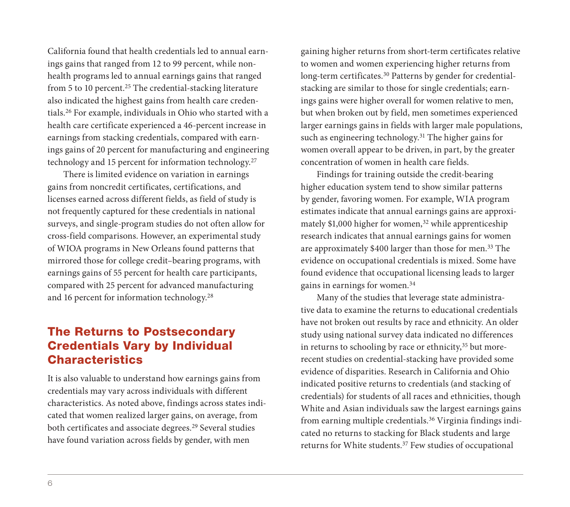California found that health credentials led to annual earnings gains that ranged from 12 to 99 percent, while nonhealth programs led to annual earnings gains that ranged from 5 to 10 percent.<sup>25</sup> The credential-stacking literature also indicated the highest gains from health care credentials.26 For example, individuals in Ohio who started with a health care certificate experienced a 46-percent increase in earnings from stacking credentials, compared with earnings gains of 20 percent for manufacturing and engineering technology and 15 percent for information technology.27

There is limited evidence on variation in earnings gains from noncredit certificates, certifications, and licenses earned across different fields, as field of study is not frequently captured for these credentials in national surveys, and single-program studies do not often allow for cross-field comparisons. However, an experimental study of WIOA programs in New Orleans found patterns that mirrored those for college credit–bearing programs, with earnings gains of 55 percent for health care participants, compared with 25 percent for advanced manufacturing and 16 percent for information technology.28

## The Returns to Postsecondary Credentials Vary by Individual Characteristics

It is also valuable to understand how earnings gains from credentials may vary across individuals with different characteristics. As noted above, findings across states indicated that women realized larger gains, on average, from both certificates and associate degrees.29 Several studies have found variation across fields by gender, with men

gaining higher returns from short-term certificates relative to women and women experiencing higher returns from long-term certificates.<sup>30</sup> Patterns by gender for credentialstacking are similar to those for single credentials; earnings gains were higher overall for women relative to men, but when broken out by field, men sometimes experienced larger earnings gains in fields with larger male populations, such as engineering technology.<sup>31</sup> The higher gains for women overall appear to be driven, in part, by the greater concentration of women in health care fields.

Findings for training outside the credit-bearing higher education system tend to show similar patterns by gender, favoring women. For example, WIA program estimates indicate that annual earnings gains are approximately  $$1,000$  higher for women,<sup>32</sup> while apprenticeship research indicates that annual earnings gains for women are approximately \$400 larger than those for men.33 The evidence on occupational credentials is mixed. Some have found evidence that occupational licensing leads to larger gains in earnings for women.34

Many of the studies that leverage state administrative data to examine the returns to educational credentials have not broken out results by race and ethnicity. An older study using national survey data indicated no differences in returns to schooling by race or ethnicity,<sup>35</sup> but morerecent studies on credential-stacking have provided some evidence of disparities. Research in California and Ohio indicated positive returns to credentials (and stacking of credentials) for students of all races and ethnicities, though White and Asian individuals saw the largest earnings gains from earning multiple credentials.36 Virginia findings indicated no returns to stacking for Black students and large returns for White students.37 Few studies of occupational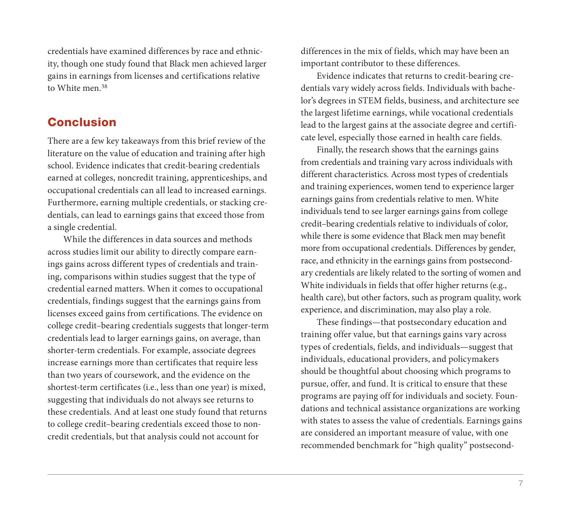credentials have examined differences by race and ethnicity, though one study found that Black men achieved larger gains in earnings from licenses and certifications relative to White men.<sup>38</sup>

#### **Conclusion**

There are a few key takeaways from this brief review of the literature on the value of education and training after high school. Evidence indicates that credit-bearing credentials earned at colleges, noncredit training, apprenticeships, and occupational credentials can all lead to increased earnings. Furthermore, earning multiple credentials, or stacking credentials, can lead to earnings gains that exceed those from a single credential.

While the differences in data sources and methods across studies limit our ability to directly compare earnings gains across different types of credentials and training, comparisons within studies suggest that the type of credential earned matters. When it comes to occupational credentials, findings suggest that the earnings gains from licenses exceed gains from certifications. The evidence on college credit–bearing credentials suggests that longer-term credentials lead to larger earnings gains, on average, than shorter-term credentials. For example, associate degrees increase earnings more than certificates that require less than two years of coursework, and the evidence on the shortest-term certificates (i.e., less than one year) is mixed, suggesting that individuals do not always see returns to these credentials. And at least one study found that returns to college credit–bearing credentials exceed those to noncredit credentials, but that analysis could not account for

differences in the mix of fields, which may have been an important contributor to these differences.

Evidence indicates that returns to credit-bearing credentials vary widely across fields. Individuals with bachelor's degrees in STEM fields, business, and architecture see the largest lifetime earnings, while vocational credentials lead to the largest gains at the associate degree and certificate level, especially those earned in health care fields.

Finally, the research shows that the earnings gains from credentials and training vary across individuals with different characteristics. Across most types of credentials and training experiences, women tend to experience larger earnings gains from credentials relative to men. White individuals tend to see larger earnings gains from college credit–bearing credentials relative to individuals of color, while there is some evidence that Black men may benefit more from occupational credentials. Differences by gender, race, and ethnicity in the earnings gains from postsecondary credentials are likely related to the sorting of women and White individuals in fields that offer higher returns (e.g., health care), but other factors, such as program quality, work experience, and discrimination, may also play a role.

These findings—that postsecondary education and training offer value, but that earnings gains vary across types of credentials, fields, and individuals—suggest that individuals, educational providers, and policymakers should be thoughtful about choosing which programs to pursue, offer, and fund. It is critical to ensure that these programs are paying off for individuals and society. Foundations and technical assistance organizations are working with states to assess the value of credentials. Earnings gains are considered an important measure of value, with one recommended benchmark for "high quality" postsecond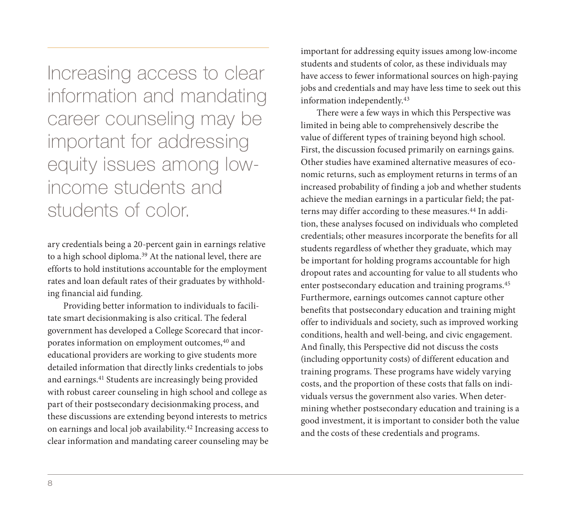Increasing access to clear information and mandating career counseling may be important for addressing equity issues among lowincome students and students of color.

ary credentials being a 20-percent gain in earnings relative to a high school diploma.<sup>39</sup> At the national level, there are efforts to hold institutions accountable for the employment rates and loan default rates of their graduates by withholding financial aid funding.

Providing better information to individuals to facilitate smart decisionmaking is also critical. The federal government has developed a College Scorecard that incorporates information on employment outcomes,<sup>40</sup> and educational providers are working to give students more detailed information that directly links credentials to jobs and earnings.<sup>41</sup> Students are increasingly being provided with robust career counseling in high school and college as part of their postsecondary decisionmaking process, and these discussions are extending beyond interests to metrics on earnings and local job availability.42 Increasing access to clear information and mandating career counseling may be

important for addressing equity issues among low-income students and students of color, as these individuals may have access to fewer informational sources on high-paying jobs and credentials and may have less time to seek out this information independently.43

There were a few ways in which this Perspective was limited in being able to comprehensively describe the value of different types of training beyond high school. First, the discussion focused primarily on earnings gains. Other studies have examined alternative measures of economic returns, such as employment returns in terms of an increased probability of finding a job and whether students achieve the median earnings in a particular field; the patterns may differ according to these measures.<sup>44</sup> In addition, these analyses focused on individuals who completed credentials; other measures incorporate the benefits for all students regardless of whether they graduate, which may be important for holding programs accountable for high dropout rates and accounting for value to all students who enter postsecondary education and training programs.45 Furthermore, earnings outcomes cannot capture other benefits that postsecondary education and training might offer to individuals and society, such as improved working conditions, health and well-being, and civic engagement. And finally, this Perspective did not discuss the costs (including opportunity costs) of different education and training programs. These programs have widely varying costs, and the proportion of these costs that falls on individuals versus the government also varies. When determining whether postsecondary education and training is a good investment, it is important to consider both the value and the costs of these credentials and programs.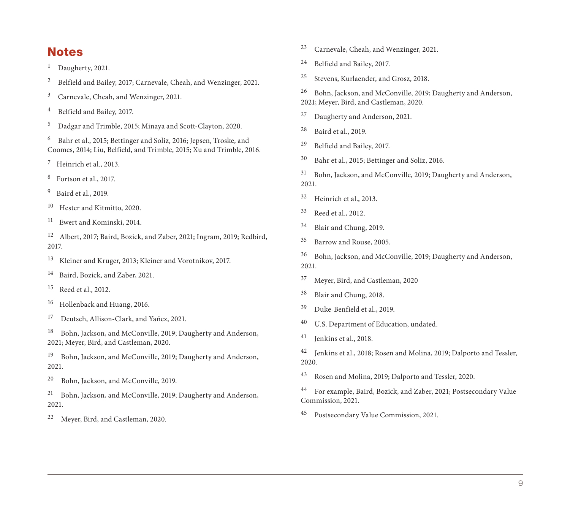## **Notes**

- <sup>1</sup> Daugherty, 2021.
- <sup>2</sup> Belfield and Bailey, 2017; Carnevale, Cheah, and Wenzinger, 2021.
- 3 Carnevale, Cheah, and Wenzinger, 2021.
- 4 Belfield and Bailey, 2017.
- 5 Dadgar and Trimble, 2015; Minaya and Scott-Clayton, 2020.

6 Bahr et al., 2015; Bettinger and Soliz, 2016; Jepsen, Troske, and Coomes, 2014; Liu, Belfield, and Trimble, 2015; Xu and Trimble, 2016.

 $7$  Heinrich et al., 2013.

- 8 Fortson et al., 2017.
- 9 Baird et al., 2019.
- 10 Hester and Kitmitto, 2020.
- 11 Ewert and Kominski, 2014.

12 Albert, 2017; Baird, Bozick, and Zaber, 2021; Ingram, 2019; Redbird, 2017.

- 13 Kleiner and Kruger, 2013; Kleiner and Vorotnikov, 2017.
- 14 Baird, Bozick, and Zaber, 2021.
- 15 Reed et al., 2012.
- 16 Hollenback and Huang, 2016.
- 17 Deutsch, Allison-Clark, and Yañez, 2021.

18 Bohn, Jackson, and McConville, 2019; Daugherty and Anderson, 2021; Meyer, Bird, and Castleman, 2020.

19 Bohn, Jackson, and McConville, 2019; Daugherty and Anderson, 2021.

20 Bohn, Jackson, and McConville, 2019.

21 Bohn, Jackson, and McConville, 2019; Daugherty and Anderson, 2021.

22 Meyer, Bird, and Castleman, 2020.

- 23 Carnevale, Cheah, and Wenzinger, 2021.
- 24 Belfield and Bailey, 2017.
- 25 Stevens, Kurlaender, and Grosz, 2018.

26 Bohn, Jackson, and McConville, 2019; Daugherty and Anderson, 2021; Meyer, Bird, and Castleman, 2020.

- 27 Daugherty and Anderson, 2021.
- 28 Baird et al., 2019.
- 29 Belfield and Bailey, 2017.
- 30 Bahr et al., 2015; Bettinger and Soliz, 2016.
- 31 Bohn, Jackson, and McConville, 2019; Daugherty and Anderson, 2021.
- 32 Heinrich et al., 2013.
- 33 Reed et al., 2012.
- 34 Blair and Chung, 2019.
- 35 Barrow and Rouse, 2005.
- 36 Bohn, Jackson, and McConville, 2019; Daugherty and Anderson, 2021.
- 37 Meyer, Bird, and Castleman, 2020
- 38 Blair and Chung, 2018.
- 39 Duke-Benfield et al., 2019.
- 40 U.S. Department of Education, undated.
- 41 Jenkins et al., 2018.
- 42 Jenkins et al., 2018; Rosen and Molina, 2019; Dalporto and Tessler, 2020.
- 43 Rosen and Molina, 2019; Dalporto and Tessler, 2020.

44 For example, Baird, Bozick, and Zaber, 2021; Postsecondary Value Commission, 2021.

45 Postsecondary Value Commission, 2021.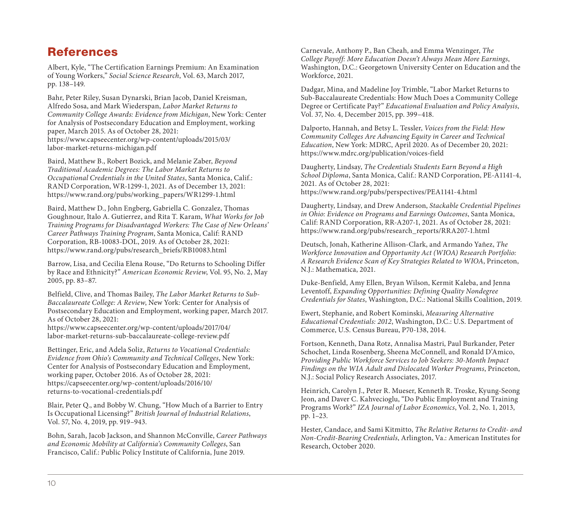## [References](https://www.rand.org/pubs/research_briefs/RB10083.html)

Albert, Kyle, "The Certification Earnings Premium: An Examination of Young Workers," Social Science Research, Vol. 63, March 2017, pp. 138–149.

Bahr, Peter Riley, Susan Dynarski, Brian Jacob, Daniel Kreisman, Alfredo Sosa, and Mark Wiederspan, Labor Market Returns to Community College Awards: Evidence from Michigan, New York: Center for Analysis of Postsecondary Education and Employment, working paper, March 2015. As of October 28, 2021:

[https://www.capseecenter.org/wp-content/uploads/2015/03/](https://www.capseecenter.org/wp-content/uploads/2017/04/labor-market-returns-sub-baccalaureate-college-review.pdf) labor-market-returns-michigan.pdf

Baird, Matthew B., Robert Bozick, and Melanie Zaber, Beyond Traditional Academic Degrees: The Labor Market Returns to Occupational Credentials in the United States, Santa Monica, Calif.: RAND Corporation, WR-1299-1, 2021. As of December 13, 2021: [https://www.rand.org/pubs/working\\_papers/WR1299](https://capseecenter.org/wp-content/uploads/2016/10/returns-to-vocational-credentials.pdf)-1.html

Baird, Matthew D., John Engberg, Gabriella C. Gonzalez, Thomas Goughnour, Italo A. Gutierrez, and Rita T. Karam, What Works for Job Training Programs for Disadvantaged Workers: The Case of New Orleans' Career Pathways Training Program, Santa Monica, Calif: RAND Corporation, RB-10083-DOL, 2019. As of October 28, 2021: https://www.rand.org/pubs/research\_briefs/RB10083.html

Barrow, Lisa, and Cecilia Elena Rouse, "Do Returns to Schooling Differ by Race and Ethnicity?" American Economic Review, Vol. 95, No. 2, May 2005, pp. 83–87.

Belfield, Clive, and Thomas Bailey, The Labor Market Returns to Sub-Baccalaureate College: A Review, New York: Center for Analysis of Postsecondary Education and Employment, working paper, March 2017. As of October 28, 2021:

https://www.capseecenter.org/wp-content/uploads/2017/04/ labor-market-returns-sub-baccalaureate-college-review.pdf

Bettinger, Eric, and Adela Soliz, Returns to Vocational Credentials: Evidence from Ohio's Community and Technical Colleges, New York: Center for Analysis of Postsecondary Education and Employment, working paper, October 2016. As of October 28, 2021: https://capseecenter.org/wp-content/uploads/2016/10/ returns-to-vocational-credentials.pdf

Blair, Peter Q., and Bobby W. Chung, "How Much of a Barrier to Entry Is Occupational Licensing?" British Journal of Industrial Relations, Vol. 57, No. 4, 2019, pp. 919–943.

Bohn, Sarah, Jacob Jackson, and Shannon McConville, Career Pathways and Economic Mobility at California's Community Colleges, San Francisco, Calif.: Public Policy Institute of California, June 2019.

Carnevale, Anthony P., Ban Cheah, and Emma Wenzinger, The College Payoff: More Education Doesn't Always Mean More Earnings, Washington, D.C.: Georgetown University Center on Education and the Workforce, 2021.

Dadgar, Mina, and Madeline Joy Trimble, "Labor Market Returns to Sub-Baccalaureate Credentials: How Much Does a Community College Degree or Certificate Pay?" Educational Evaluation and Policy Analysis, Vol. 37, No. 4, December 2015, pp. 399–418.

Dalporto, Hannah, and Betsy L. Tessler, Voices from the Field: How Community Colleges Are Advancing Equity in Career and Technical Education, New York: MDRC, April 2020. As of December 20, 2021: https://www.mdrc.org/publication/voices-field

Daugherty, Lindsay, The Credentials Students Earn Beyond a High School Diploma, Santa Monica, Calif.: RAND Corporation, PE-A1141-4, 2021. As of October 28, 2021: https://www.rand.org/pubs/perspectives/PEA1141-4.html

Daugherty, Lindsay, and Drew Anderson, Stackable Credential Pipelines in Ohio: Evidence on Programs and Earnings Outcomes, Santa Monica, Calif: RAND Corporation, RR-A207-1, 2021. As of October 28, 2021: https://www.rand.org/pubs/research\_reports/RRA207-1.html

Deutsch, Jonah, Katherine Allison-Clark, and Armando Yañez, The Workforce Innovation and Opportunity Act (WIOA) Research Portfolio: A Research Evidence Scan of Key Strategies Related to WIOA, Princeton, N.J.: Mathematica, 2021.

Duke-Benfield, Amy Ellen, Bryan Wilson, Kermit Kaleba, and Jenna Leventoff, Expanding Opportunities: Defining Quality Nondegree Credentials for States, Washington, D.C.: National Skills Coalition, 2019.

Ewert, Stephanie, and Robert Kominski, Measuring Alternative Educational Credentials: 2012, Washington, D.C.: U.S. Department of Commerce, U.S. Census Bureau, P70-138, 2014.

Fortson, Kenneth, Dana Rotz, Annalisa Mastri, Paul Burkander, Peter Schochet, Linda Rosenberg, Sheena McConnell, and Ronald D'Amico, Providing Public Workforce Services to Job Seekers: 30-Month Impact Findings on the WIA Adult and Dislocated Worker Programs, Princeton, N.J.: Social Policy Research Associates, 2017.

Heinrich, Carolyn J., Peter R. Mueser, Kenneth R. Troske, Kyung-Seong Jeon, and Daver C. Kahvecioglu, "Do Public Employment and Training Programs Work?" IZA Journal of Labor Economics, Vol. 2, No. 1, 2013, pp. 1–23.

Hester, Candace, and Sami Kitmitto, The Relative Returns to Credit- and Non-Credit-Bearing Credentials, Arlington, Va.: American Institutes for Research, October 2020.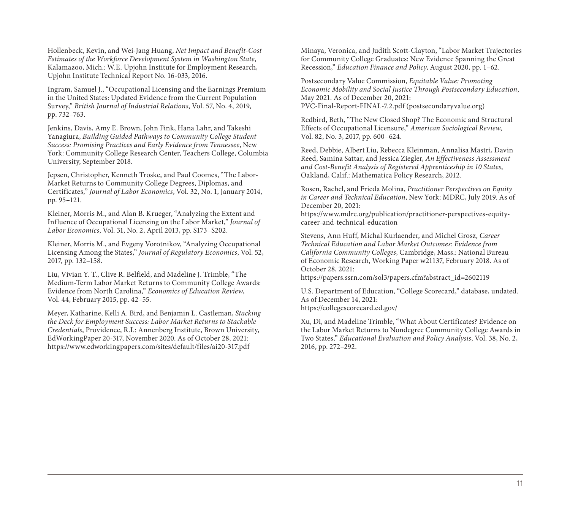Hollenbeck, Kevin, and Wei-Jang Huang, Net Impact and Benefit-Cost Estimates of the Workforce Development System in Washington State, Kalamazoo, Mich.: W.E. Upjohn Institute for Employment Research, Upjohn Institute Technical Report No. 16-033, 2016.

Ingram, Samuel J., "Occupational Licensing and the Earnings Premium in the United States: Updated Evidence from the Current Population Survey," British Journal of Industrial Relations, Vol. 57, No. 4, 2019, pp. 732–763.

Jenkins, Davis, Amy E. Brown, John Fink, Hana Lahr, and Takeshi Yanagiura, Building Guided Pathways to Community College Student Success: Promising Practices and Early Evidence from Tennessee, New [York: Community College Research Center, Teachers College, Colu](https://www.edworkingpapers.com/sites/default/files/ai20-317.pdf)mbia University, September 2018.

Jepsen, Christopher, Kenneth Troske, and Paul Coomes, "The Labor-Market Returns to Community College Degrees, Diplomas, and Certificates," Journal of Labor Economics, Vol. 32, No. 1, January 2014, pp. 95–121.

Kleiner, Morris M., and Alan B. Krueger, "Analyzing the Extent and Influence of Occupational Licensing on the Labor Market," Journal of Labor Economics, Vol. 31, No. 2, April 2013, pp. S173–S202.

Kleiner, Morris M., and Evgeny Vorotnikov, "Analyzing Occupational Licensing Among the States," Journal of Regulatory Economics, Vol. 52, 2017, pp. 132–158.

Liu, Vivian Y. T., Clive R. Belfield, and Madeline J. Trimble, "The Medium-Term Labor Market Returns to Community College Awards: Evidence from North Carolina," Economics of Education Review, Vol. 44, February 2015, pp. 42–55.

Meyer, Katharine, Kelli A. Bird, and Benjamin L. Castleman, Stacking the Deck for Employment Success: Labor Market Returns to Stackable Credentials, Providence, R.I.: Annenberg Institute, Brown University, EdWorkingPaper 20-317, November 2020. As of October 28, 2021: https://www.edworkingpapers.com/sites/default/files/ai20-317.pdf

Minaya, Veronica, and Judith Scott-Clayton, "Labor Market Trajectories for Community College Graduates: New Evidence Spanning the Great Recession," Education Finance and Policy, August 2020, pp. 1–62.

Postsecondary Value Commission, Equitable Value: Promoting [Economic Mobility and Social Justice Through Postsecondary E](https://papers.ssrn.com/sol3/papers.cfm?abstract_id=2602119)ducation, May 2021. As of December 20, 2021: PVC-Final-Report-FINAL-7.2.pdf (postsecondaryvalue.org)

[Redbird, Beth, "The New Closed](https://collegescorecard.ed.gov/) Shop? The Economic and Structural Effects of Occupational Licensure," American Sociological Review, Vol. 82, No. 3, 2017, pp. 600–624.

Reed, Debbie, Albert Liu, Rebecca Kleinman, Annalisa Mastri, Davin Reed, Samina Sattar, and Jessica Ziegler, An Effectiveness Assessment and Cost-Benefit Analysis of Registered Apprenticeship in 10 States, Oakland, Calif.: Mathematica Policy Research, 2012.

Rosen, Rachel, and Frieda Molina, Practitioner Perspectives on Equity in Career and Technical Education, New York: MDRC, July 2019. As of December 20, 2021:

https://www.mdrc.org/publication/practitioner-perspectives-equitycareer-and-technical-education

Stevens, Ann Huff, Michal Kurlaender, and Michel Grosz, Career Technical Education and Labor Market Outcomes: Evidence from California Community Colleges, Cambridge, Mass.: National Bureau of Economic Research, Working Paper w21137, February 2018. As of October 28, 2021:

https://papers.ssrn.com/sol3/papers.cfm?abstract\_id=2602119

U.S. Department of Education, "College Scorecard," database, undated. As of December 14, 2021: https://collegescorecard.ed.gov/

Xu, Di, and Madeline Trimble, "What About Certificates? Evidence on the Labor Market Returns to Nondegree Community College Awards in Two States," Educational Evaluation and Policy Analysis, Vol. 38, No. 2, 2016, pp. 272–292.